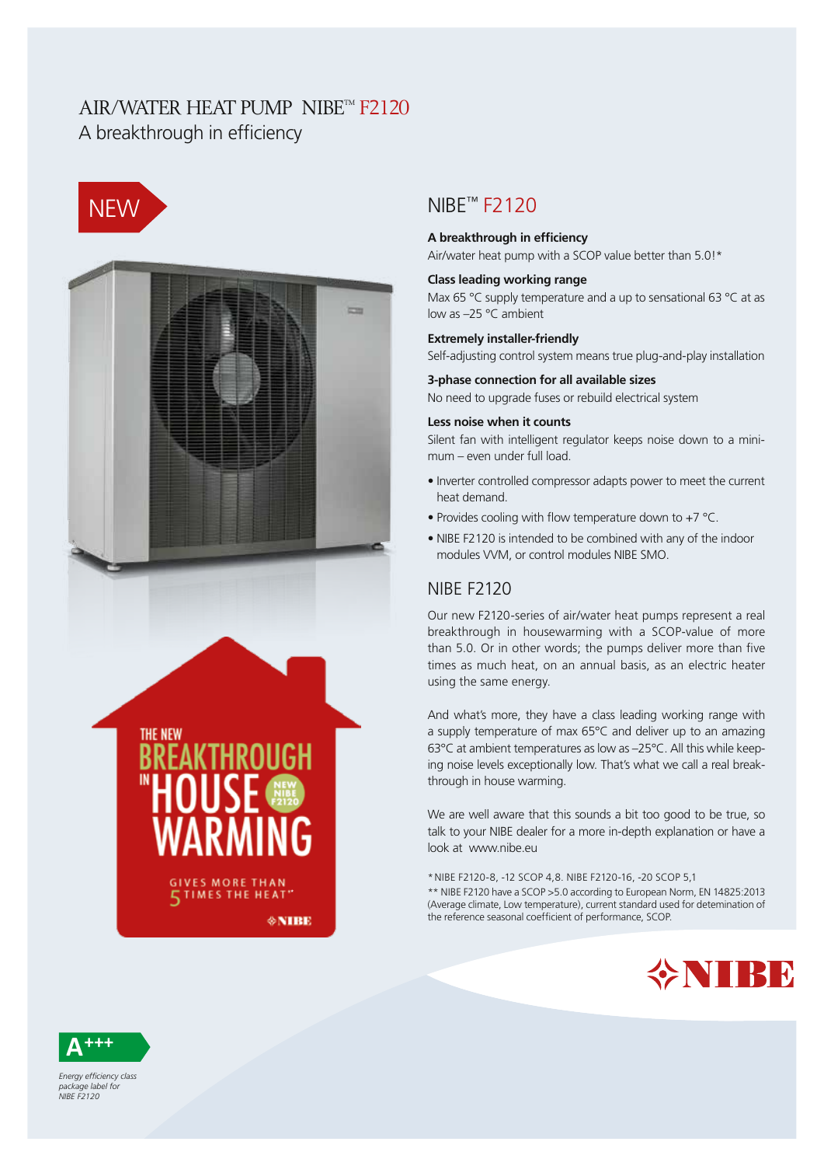## AIR/WATER HEAT PUMP NIBE™ F2120 A breakthrough in efficiency





## NIBE™ F2120

#### **A breakthrough in efficiency**

Air/water heat pump with a SCOP value better than 5.0!\*

#### **Class leading working range**

Max 65 °C supply temperature and a up to sensational 63 °C at as low as –25 °C ambient

#### **Extremely installer-friendly**

Self-adjusting control system means true plug-and-play installation

#### **3-phase connection for all available sizes**

No need to upgrade fuses or rebuild electrical system

#### **Less noise when it counts**

Silent fan with intelligent regulator keeps noise down to a minimum – even under full load.

- Inverter controlled compressor adapts power to meet the current heat demand.
- Provides cooling with flow temperature down to +7 °C.
- NIBE F2120 is intended to be combined with any of the indoor modules VVM, or control modules NIBE SMO.

### NIBE F2120

Our new F2120-series of air/water heat pumps represent a real breakthrough in housewarming with a SCOP-value of more than 5.0. Or in other words; the pumps deliver more than five times as much heat, on an annual basis, as an electric heater using the same energy.

And what's more, they have a class leading working range with a supply temperature of max 65°C and deliver up to an amazing 63°C at ambient temperatures as low as –25°C. All this while keeping noise levels exceptionally low. That's what we call a real breakthrough in house warming.

We are well aware that this sounds a bit too good to be true, so talk to your NIBE dealer for a more in-depth explanation or have a look at www.nibe.eu

\*NIBE F2120-8, -12 SCOP 4,8. NIBE F2120-16, -20 SCOP 5,1 \*\* NIBE F2120 have a SCOP >5.0 according to European Norm, EN 14825:2013 (Average climate, Low temperature), current standard used for detemination of the reference seasonal coefficient of performance, SCOP.





*Energy efficiency class*  package label for *NIBE F2120*